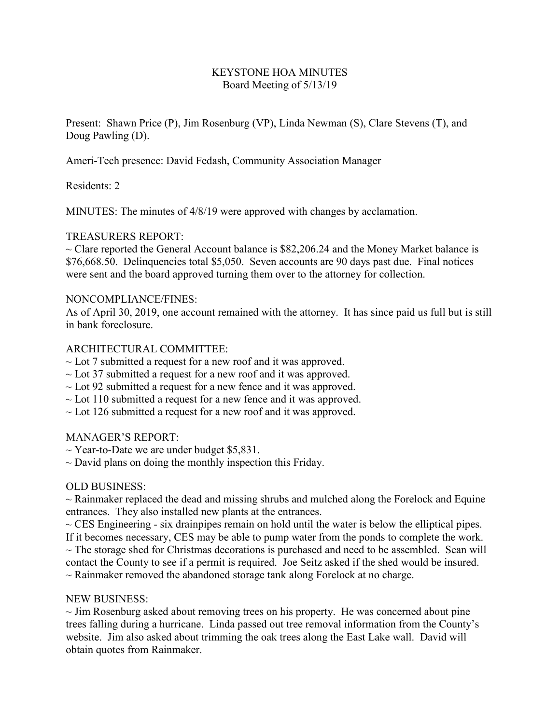# KEYSTONE HOA MINUTES Board Meeting of 5/13/19

Present: Shawn Price (P), Jim Rosenburg (VP), Linda Newman (S), Clare Stevens (T), and Doug Pawling (D).

Ameri-Tech presence: David Fedash, Community Association Manager

Residents: 2

MINUTES: The minutes of 4/8/19 were approved with changes by acclamation.

# TREASURERS REPORT:

 $\sim$  Clare reported the General Account balance is \$82,206.24 and the Money Market balance is \$76,668.50. Delinquencies total \$5,050. Seven accounts are 90 days past due. Final notices were sent and the board approved turning them over to the attorney for collection.

### NONCOMPLIANCE/FINES:

As of April 30, 2019, one account remained with the attorney. It has since paid us full but is still in bank foreclosure.

### ARCHITECTURAL COMMITTEE:

- $\sim$  Lot 7 submitted a request for a new roof and it was approved.
- $\sim$  Lot 37 submitted a request for a new roof and it was approved.
- $\sim$  Lot 92 submitted a request for a new fence and it was approved.
- $\sim$  Lot 110 submitted a request for a new fence and it was approved.
- $\sim$  Lot 126 submitted a request for a new roof and it was approved.

### MANAGER'S REPORT:

- $\sim$  Year-to-Date we are under budget \$5,831.
- $\sim$  David plans on doing the monthly inspection this Friday.

### OLD BUSINESS:

 $\sim$  Rainmaker replaced the dead and missing shrubs and mulched along the Forelock and Equine entrances. They also installed new plants at the entrances.

 $\sim$  CES Engineering - six drainpipes remain on hold until the water is below the elliptical pipes. If it becomes necessary, CES may be able to pump water from the ponds to complete the work.

 $\sim$  The storage shed for Christmas decorations is purchased and need to be assembled. Sean will contact the County to see if a permit is required. Joe Seitz asked if the shed would be insured.  $\sim$  Rainmaker removed the abandoned storage tank along Forelock at no charge.

### NEW BUSINESS:

 $\sim$  Jim Rosenburg asked about removing trees on his property. He was concerned about pine trees falling during a hurricane. Linda passed out tree removal information from the County's website. Jim also asked about trimming the oak trees along the East Lake wall. David will obtain quotes from Rainmaker.